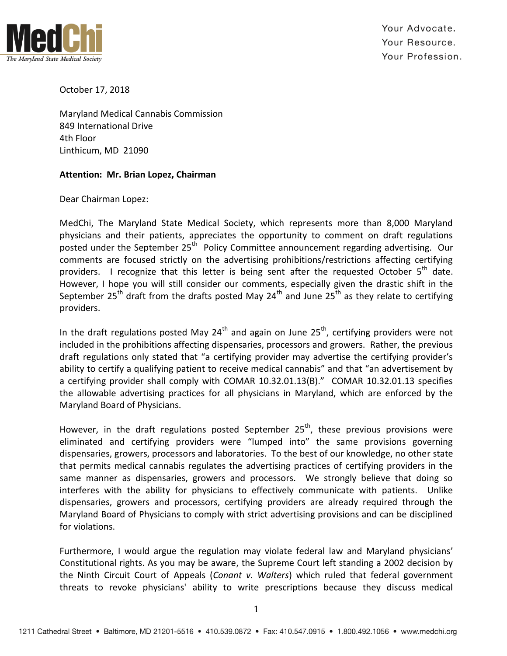

Your Advocate. Your Resource. Your Profession.

October 17, 2018

Maryland Medical Cannabis Commission 849 International Drive 4th Floor Linthicum, MD 21090

## **Attention: Mr. Brian Lopez, Chairman**

Dear Chairman Lopez:

MedChi, The Maryland State Medical Society, which represents more than 8,000 Maryland physicians and their patients, appreciates the opportunity to comment on draft regulations posted under the September 25<sup>th</sup> Policy Committee announcement regarding advertising. Our comments are focused strictly on the advertising prohibitions/restrictions affecting certifying providers. I recognize that this letter is being sent after the requested October  $5<sup>th</sup>$  date. However, I hope you will still consider our comments, especially given the drastic shift in the September 25<sup>th</sup> draft from the drafts posted May 24<sup>th</sup> and June 25<sup>th</sup> as they relate to certifying providers.

In the draft regulations posted May  $24<sup>th</sup>$  and again on June  $25<sup>th</sup>$ , certifying providers were not included in the prohibitions affecting dispensaries, processors and growers. Rather, the previous draft regulations only stated that "a certifying provider may advertise the certifying provider's ability to certify a qualifying patient to receive medical cannabis" and that "an advertisement by a certifying provider shall comply with COMAR 10.32.01.13(B)." COMAR 10.32.01.13 specifies the allowable advertising practices for all physicians in Maryland, which are enforced by the Maryland Board of Physicians.

However, in the draft regulations posted September  $25<sup>th</sup>$ , these previous provisions were eliminated and certifying providers were "lumped into" the same provisions governing dispensaries, growers, processors and laboratories. To the best of our knowledge, no other state that permits medical cannabis regulates the advertising practices of certifying providers in the same manner as dispensaries, growers and processors. We strongly believe that doing so interferes with the ability for physicians to effectively communicate with patients. Unlike dispensaries, growers and processors, certifying providers are already required through the Maryland Board of Physicians to comply with strict advertising provisions and can be disciplined for violations.

Furthermore, I would argue the regulation may violate federal law and Maryland physicians' Constitutional rights. As you may be aware, the Supreme Court left standing a 2002 decision by the Ninth Circuit Court of Appeals (*Conant v. Walters*) which ruled that federal government threats to revoke physicians' ability to write prescriptions because they discuss medical